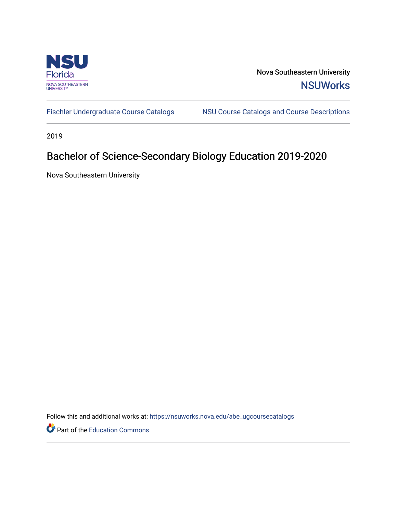

Nova Southeastern University **NSUWorks** 

[Fischler Undergraduate Course Catalogs](https://nsuworks.nova.edu/abe_ugcoursecatalogs) MSU Course Catalogs and Course Descriptions

2019

# Bachelor of Science-Secondary Biology Education 2019-2020

Nova Southeastern University

Follow this and additional works at: [https://nsuworks.nova.edu/abe\\_ugcoursecatalogs](https://nsuworks.nova.edu/abe_ugcoursecatalogs?utm_source=nsuworks.nova.edu%2Fabe_ugcoursecatalogs%2F31&utm_medium=PDF&utm_campaign=PDFCoverPages) 

Part of the [Education Commons](http://network.bepress.com/hgg/discipline/784?utm_source=nsuworks.nova.edu%2Fabe_ugcoursecatalogs%2F31&utm_medium=PDF&utm_campaign=PDFCoverPages)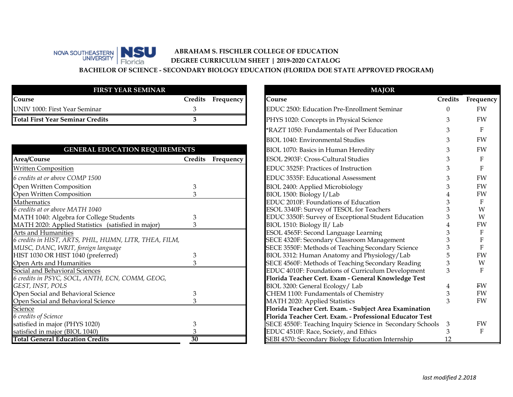#### NOVA SOUTHEASTERN BIOTICA **ABRAHAM S. FISCHLER COLLEGE OF EDUCATION** Florida **DEGREE CURRICULUM SHEET | 2019-2020 CATALOG BACHELOR OF SCIENCE - SECONDARY BIOLOGY EDUCATION (FLORIDA DOE STATE APPROVED PROGRAM)**

| <b>FIRST YEAR SEMINAR</b>        |                   |
|----------------------------------|-------------------|
| Course                           | Credits Frequency |
| UNIV 1000: First Year Seminar    |                   |
| Total First Year Seminar Credits |                   |

| <b>GENERAL EDUCATION REQUIREMENTS</b>                  |         |           |
|--------------------------------------------------------|---------|-----------|
| Area/Course                                            | Credits | Frequency |
| <b>Written Composition</b>                             |         |           |
| 6 credits at or above COMP 1500                        |         |           |
| Open Written Composition                               | З       |           |
| Open Written Composition                               |         |           |
| Mathematics                                            |         |           |
| 6 credits at or above MATH 1040                        |         |           |
| MATH 1040: Algebra for College Students                |         |           |
| MATH 2020: Applied Statistics (satisfied in major)     |         |           |
| Arts and Humanities                                    |         |           |
| 6 credits in HIST, ARTS, PHIL, HUMN, LITR, THEA, FILM, |         |           |
| MUSC, DANC, WRIT, foreign language                     |         |           |
| HIST 1030 OR HIST 1040 (preferred)                     |         |           |
| Open Arts and Humanities                               |         |           |
| Social and Behavioral Sciences                         |         |           |
| 6 credits in PSYC, SOCL, ANTH, ECN, COMM, GEOG,        |         |           |
| GEST, INST, POLS                                       |         |           |
| Open Social and Behavioral Science                     | З       |           |
| Open Social and Behavioral Science                     |         |           |
| Science                                                |         |           |
| 6 credits of Science                                   |         |           |
| satisfied in major (PHYS 1020)                         | З       |           |
| satisfied in major (BIOL 1040)                         |         |           |
| <b>Total General Education Credits</b>                 | 30      |           |

|                           |           | <b>MAJOR</b>                                              |                |              |
|---------------------------|-----------|-----------------------------------------------------------|----------------|--------------|
| dits                      | Frequency | Course                                                    | <b>Credits</b> | Frequency    |
| 3                         |           | <b>EDUC 2500: Education Pre-Enrollment Seminar</b>        | 0              | FW           |
| $\overline{\overline{3}}$ |           | PHYS 1020: Concepts in Physical Science                   | 3              | <b>FW</b>    |
|                           |           | *RAZT 1050: Fundamentals of Peer Education                | 3              | F            |
|                           |           | <b>BIOL 1040: Environmental Studies</b>                   | 3              | <b>FW</b>    |
| 3                         |           | <b>BIOL 1070: Basics in Human Heredity</b>                | 3              | FW           |
| dits                      | Frequency | ESOL 2903F: Cross-Cultural Studies                        | 3              | $\mathbf F$  |
|                           |           | EDUC 3525F: Practices of Instruction                      | 3              | F            |
|                           |           | EDUC 3535F: Educational Assessment                        | 3              | FW           |
| 3                         |           | <b>BIOL 2400: Applied Microbiology</b>                    | 3              | FW           |
| 3                         |           | BIOL 1500: Biology I/Lab                                  | 4              | FW           |
|                           |           | EDUC 2010F: Foundations of Education                      | 3              | $\mathbf{F}$ |
|                           |           | ESOL 3340F: Survey of TESOL for Teachers                  | 3              | W            |
| 3                         |           | EDUC 3350F: Survey of Exceptional Student Education       | 3              | W            |
| 3                         |           | BIOL 1510: Biology II/ Lab                                | 4              | FW           |
|                           |           | ESOL 4565F: Second Language Learning                      | 3              | F            |
|                           |           | SECE 4320F: Secondary Classroom Management                | 3              | F            |
|                           |           | SECE 3550F: Methods of Teaching Secondary Science         | 3              | $\mathbf{F}$ |
| 3                         |           | BIOL 3312: Human Anatomy and Physiology/Lab               | 5              | FW           |
| 3                         |           | SECE 4560F: Methods of Teaching Secondary Reading         | 3              | W            |
|                           |           | EDUC 4010F: Foundations of Curriculum Development         | 3              | F            |
|                           |           | Florida Teacher Cert. Exam - General Knowledge Test       |                |              |
|                           |           | BIOL 3200: General Ecology/Lab                            | 4              | <b>FW</b>    |
| 3                         |           | CHEM 1100: Fundamentals of Chemistry                      | 3              | FW           |
| 3                         |           | MATH 2020: Applied Statistics                             | 3              | FW           |
|                           |           | Florida Teacher Cert. Exam. - Subject Area Examination    |                |              |
|                           |           | Florida Teacher Cert. Exam. - Professional Educator Test  |                |              |
| 3                         |           | SECE 4550F: Teaching Inquiry Science in Secondary Schools | 3              | FW           |
| 3                         |           | EDUC 4510F: Race, Society, and Ethics                     | 3              | F            |
| $\overline{\textbf{30}}$  |           | SEBI 4570: Secondary Biology Education Internship         | 12             |              |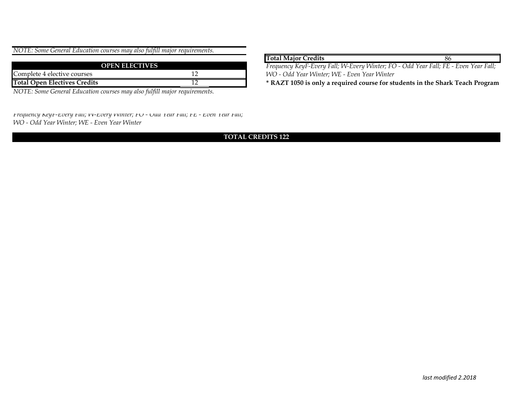| NOTE: Some General Education courses may also fulfill major requirements. |  |
|---------------------------------------------------------------------------|--|
|---------------------------------------------------------------------------|--|

| <b>OPEN ELECTIVES</b>               |  |
|-------------------------------------|--|
| Complete 4 elective courses         |  |
| <b>Total Open Electives Credits</b> |  |

*NOTE: Some General Education courses may also fulfill major requirements.*

*Frequency KeyF-Every Fall; W-Every Winter; FO - Odd Year Fall; FE - Even Year Fall; WO - Odd Year Winter; WE - Even Year Winter* 

### **TOTAL CREDITS 122**

| <b>Total Major Credits</b>                                                                                     | 86 |
|----------------------------------------------------------------------------------------------------------------|----|
| Frequency KeyF-Every Fall; W-Every Winter; FO - Odd Year Fall; FE - Even Year Fall;                            |    |
| WO - Odd Year Winter; WE - Even Year Winter                                                                    |    |
| A DA TEACH A CHAIR IN A CHAIR IS A CHAIR IN A CHAIR IS A CHAIR IS A CHAIR IS A CHAIR IS AN OLD IS A CHAIR IS A |    |

**\* RAZT 1050 is only a required course for students in the Shark Teach Program**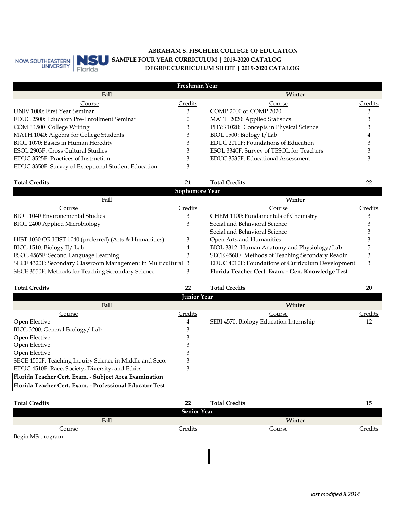

## **ABRAHAM S. FISCHLER COLLEGE OF EDUCATION DEGREE CURRICULUM SHEET | 2019-2020 CATALOG SAMPLE FOUR YEAR CURRICULUM | 2019-2020 CATALOG**

| Freshman Year                                       |         |                                          |         |
|-----------------------------------------------------|---------|------------------------------------------|---------|
| Fall                                                |         | Winter                                   |         |
| Course                                              | Credits | Course                                   | Credits |
| UNIV 1000: First Year Seminar                       | 3       | COMP 2000 or COMP 2020                   |         |
| EDUC 2500: Educaton Pre-Enrollment Seminar          |         | MATH 2020: Applied Statistics            |         |
| COMP 1500: College Writing                          |         | PHYS 1020: Concepts in Physical Science  |         |
| MATH 1040: Algebra for College Students             |         | BIOL 1500: Biology I/Lab                 |         |
| BIOL 1070: Basics in Human Heredity                 |         | EDUC 2010F: Foundations of Education     |         |
| ESOL 2903F: Cross Cultural Studies                  | 3       | ESOL 3340F: Survey of TESOL for Teachers |         |
| EDUC 3525F: Practices of Instruction                |         | EDUC 3535F: Educational Assessment       |         |
| EDUC 3350F: Survey of Exceptional Student Education | З       |                                          |         |

#### BIOL 2400 Applied Microbiology 3 BIOL 3312: Human Anatomy and Physiology/Lab SECE 4320F: Secondary Classroom Management in Multicultural 3 EDUC 4010F: Foundations of Curriculum Development 3 SECE 3550F: Methods for Teaching Secondary Science 3 **Florida Teacher Cert. Exam. - Gen. Knowledge Test** BIOL 1040 Environemental Studies HIST 1030 OR HIST 1040 (preferred) (Arts & Humanities) Social and Behavioral Science 3 ESOL 4565F: Second Language Learning 3 SECE 4560F: Methods of Teaching Secondary Readin 3 **Total Credits 22** 5 3 CHEM 1100: Fundamentals of Chemistry 3 Social and Behavioral Science 3 **Sophomore Year Fall Winter** Course Credits Course Credits **Total Credits 21** BIOL 1510: Biology II/ Lab 3 Open Arts and Humanities 3 4

| <b>Total Credits</b>                                     | 22      | <b>Total Credits</b>                    | 20      |
|----------------------------------------------------------|---------|-----------------------------------------|---------|
| <b>Junior Year</b>                                       |         |                                         |         |
| Fall                                                     |         | Winter                                  |         |
| Course                                                   | Credits | Course                                  | Credits |
| Open Elective                                            | 4       | SEBI 4570: Biology Education Internship | 12      |
| BIOL 3200: General Ecology/Lab                           | 3       |                                         |         |
| Open Elective                                            | 3       |                                         |         |
| Open Elective                                            | З       |                                         |         |
| Open Elective                                            |         |                                         |         |
| SECE 4550F: Teaching Inquiry Science in Middle and Secor | 3       |                                         |         |
| EDUC 4510F: Race, Society, Diversity, and Ethics         | 3       |                                         |         |
| Florida Teacher Cert. Exam. - Subject Area Examination   |         |                                         |         |
| Florida Teacher Cert. Exam. - Professional Educator Test |         |                                         |         |

| <b>Total Credits</b> | 22                 | <b>Total Credits</b> | 15             |
|----------------------|--------------------|----------------------|----------------|
|                      | <b>Senior Year</b> |                      |                |
| Fall                 |                    | Winter               |                |
| <u>Course</u>        | <b>Credits</b>     | <u>Course</u>        | <u>Credits</u> |
| Begin MS program     |                    |                      |                |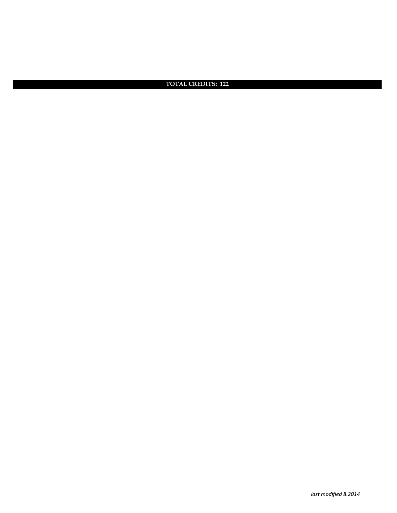**TOTAL CREDITS: 122**